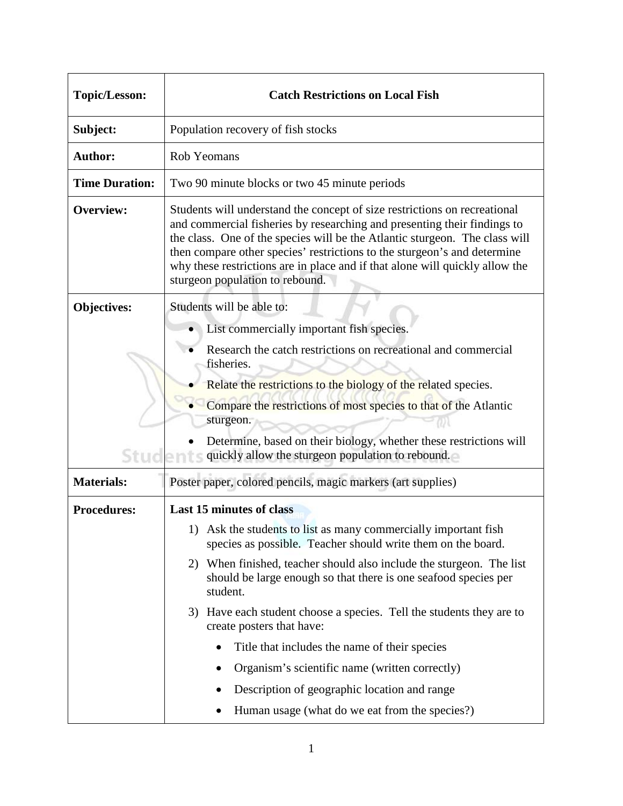| <b>Topic/Lesson:</b>  | <b>Catch Restrictions on Local Fish</b>                                                                                                                                                                                                                                                                                                                                                                                                                                                                                                                                                                                                          |
|-----------------------|--------------------------------------------------------------------------------------------------------------------------------------------------------------------------------------------------------------------------------------------------------------------------------------------------------------------------------------------------------------------------------------------------------------------------------------------------------------------------------------------------------------------------------------------------------------------------------------------------------------------------------------------------|
| Subject:              | Population recovery of fish stocks                                                                                                                                                                                                                                                                                                                                                                                                                                                                                                                                                                                                               |
| <b>Author:</b>        | Rob Yeomans                                                                                                                                                                                                                                                                                                                                                                                                                                                                                                                                                                                                                                      |
| <b>Time Duration:</b> | Two 90 minute blocks or two 45 minute periods                                                                                                                                                                                                                                                                                                                                                                                                                                                                                                                                                                                                    |
| <b>Overview:</b>      | Students will understand the concept of size restrictions on recreational<br>and commercial fisheries by researching and presenting their findings to<br>the class. One of the species will be the Atlantic sturgeon. The class will<br>then compare other species' restrictions to the sturgeon's and determine<br>why these restrictions are in place and if that alone will quickly allow the<br>sturgeon population to rebound.                                                                                                                                                                                                              |
| <b>Objectives:</b>    | Students will be able to:<br>• List commercially important fish species.<br>Research the catch restrictions on recreational and commercial<br>fisheries.                                                                                                                                                                                                                                                                                                                                                                                                                                                                                         |
| Stud                  | Relate the restrictions to the biology of the related species.<br>Compare the restrictions of most species to that of the Atlantic<br>sturgeon.<br>Determine, based on their biology, whether these restrictions will<br>quickly allow the sturgeon population to rebound.                                                                                                                                                                                                                                                                                                                                                                       |
| <b>Materials:</b>     | Poster paper, colored pencils, magic markers (art supplies)                                                                                                                                                                                                                                                                                                                                                                                                                                                                                                                                                                                      |
| <b>Procedures:</b>    | <b>Last 15 minutes of class</b><br>1) Ask the students to list as many commercially important fish<br>species as possible. Teacher should write them on the board.<br>2) When finished, teacher should also include the sturgeon. The list<br>should be large enough so that there is one seafood species per<br>student.<br>3) Have each student choose a species. Tell the students they are to<br>create posters that have:<br>Title that includes the name of their species<br>$\bullet$<br>Organism's scientific name (written correctly)<br>Description of geographic location and range<br>Human usage (what do we eat from the species?) |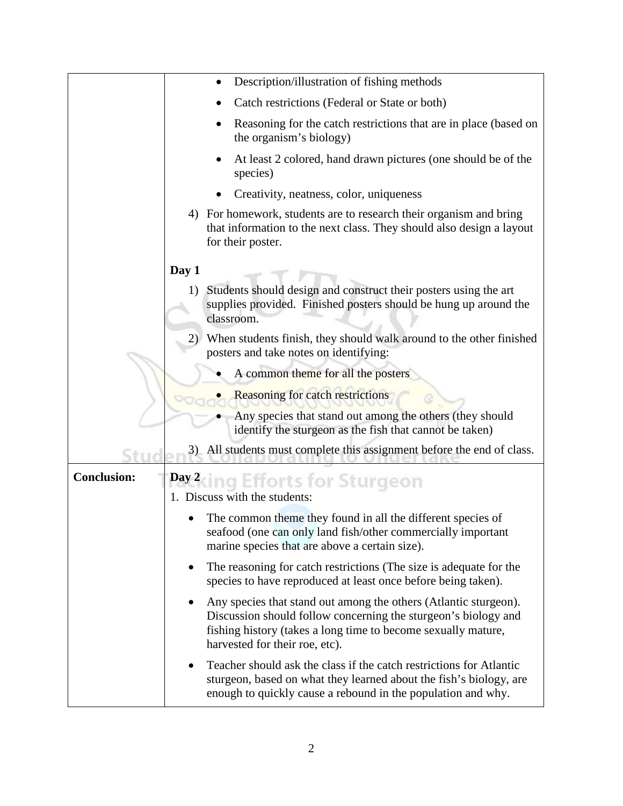|                    | Description/illustration of fishing methods                                                                                                                                                                                           |
|--------------------|---------------------------------------------------------------------------------------------------------------------------------------------------------------------------------------------------------------------------------------|
|                    | Catch restrictions (Federal or State or both)                                                                                                                                                                                         |
|                    | Reasoning for the catch restrictions that are in place (based on<br>the organism's biology)                                                                                                                                           |
|                    | At least 2 colored, hand drawn pictures (one should be of the<br>species)                                                                                                                                                             |
|                    | Creativity, neatness, color, uniqueness                                                                                                                                                                                               |
|                    | 4) For homework, students are to research their organism and bring<br>that information to the next class. They should also design a layout<br>for their poster.                                                                       |
|                    | Day 1                                                                                                                                                                                                                                 |
|                    | Students should design and construct their posters using the art<br>1)<br>supplies provided. Finished posters should be hung up around the<br>classroom.                                                                              |
|                    | When students finish, they should walk around to the other finished<br>2)<br>posters and take notes on identifying:                                                                                                                   |
|                    | A common theme for all the posters                                                                                                                                                                                                    |
|                    | <b>Reasoning for catch restrictions</b>                                                                                                                                                                                               |
|                    | Any species that stand out among the others (they should<br>identify the sturgeon as the fish that cannot be taken)                                                                                                                   |
|                    | 3) All students must complete this assignment before the end of class.                                                                                                                                                                |
| <b>Conclusion:</b> | Day 2 cing Efforts for Sturgeon<br>1. Discuss with the students:                                                                                                                                                                      |
|                    | The common theme they found in all the different species of<br>seafood (one can only land fish/other commercially important<br>marine species that are above a certain size).                                                         |
|                    | The reasoning for catch restrictions (The size is adequate for the<br>$\bullet$<br>species to have reproduced at least once before being taken).                                                                                      |
|                    | Any species that stand out among the others (Atlantic sturgeon).<br>Discussion should follow concerning the sturgeon's biology and<br>fishing history (takes a long time to become sexually mature,<br>harvested for their roe, etc). |
|                    | Teacher should ask the class if the catch restrictions for Atlantic<br>$\bullet$<br>sturgeon, based on what they learned about the fish's biology, are<br>enough to quickly cause a rebound in the population and why.                |